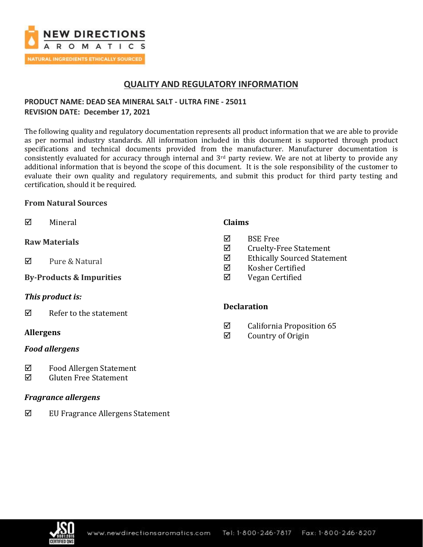

## **QUALITY AND REGULATORY INFORMATION**

## **PRODUCT NAME: DEAD SEA MINERAL SALT - ULTRA FINE - 25011 REVISION DATE: December 17, 2021**

The following quality and regulatory documentation represents all product information that we are able to provide as per normal industry standards. All information included in this document is supported through product specifications and technical documents provided from the manufacturer. Manufacturer documentation is consistently evaluated for accuracy through internal and  $3<sup>rd</sup>$  party review. We are not at liberty to provide any additional information that is beyond the scope of this document. It is the sole responsibility of the customer to evaluate their own quality and regulatory requirements, and submit this product for third party testing and certification, should it be required.

### **From Natural Sources**

 $\nabla$  Mineral **Raw Materials**   $\overline{M}$  Pure & Natural **By-Products & Impurities**  *This product is:*  $\nabla$  Refer to the statement **Claims**  $\nabla$  BSE Free  $\boxtimes$  Cruelty-Free Statement Ethically Sourced Statement  $\boxtimes$  Kosher Certified Vegan Certified **Declaration**

## **Allergens**

## *Food allergens*

- Food Allergen Statement
- $\boxtimes$  Gluten Free Statement

## *Fragrance allergens*

 $\boxtimes$  EU Fragrance Allergens Statement

- $\boxtimes$  California Proposition 65
- $\boxtimes$  Country of Origin

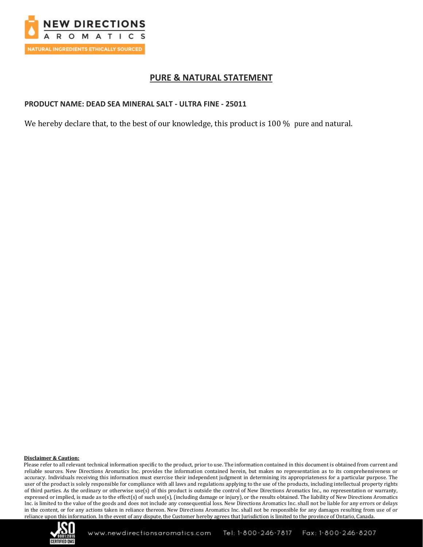

## **PURE & NATURAL STATEMENT**

## **PRODUCT NAME: DEAD SEA MINERAL SALT - ULTRA FINE - 25011**

We hereby declare that, to the best of our knowledge, this product is 100 % pure and natural.

#### **Disclaimer & Caution:**

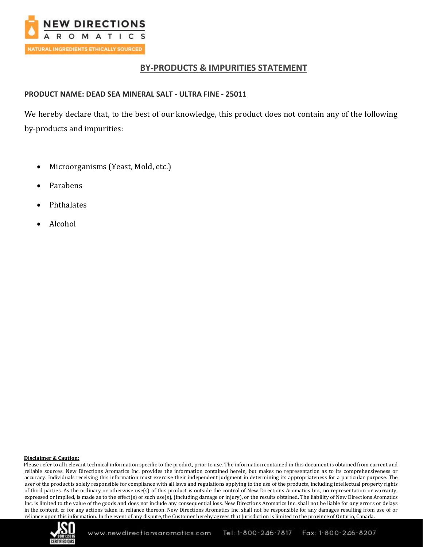

## **BY-PRODUCTS & IMPURITIES STATEMENT**

## **PRODUCT NAME: DEAD SEA MINERAL SALT - ULTRA FINE - 25011**

We hereby declare that, to the best of our knowledge, this product does not contain any of the following by-products and impurities:

- Microorganisms (Yeast, Mold, etc.)
- Parabens
- **Phthalates**
- Alcohol

#### **Disclaimer & Caution:**

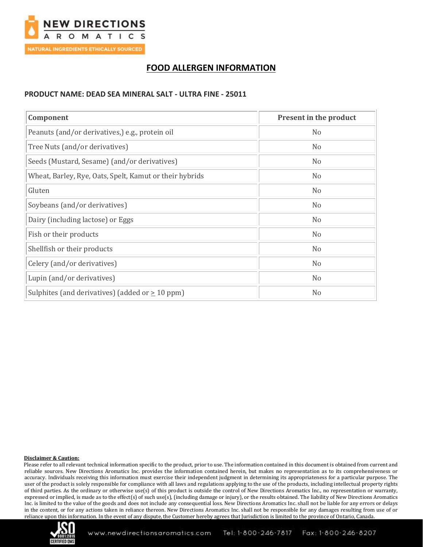

## **FOOD ALLERGEN INFORMATION**

### **PRODUCT NAME: DEAD SEA MINERAL SALT - ULTRA FINE - 25011**

| Component                                               | <b>Present in the product</b> |
|---------------------------------------------------------|-------------------------------|
| Peanuts (and/or derivatives,) e.g., protein oil         | N <sub>o</sub>                |
| Tree Nuts (and/or derivatives)                          | N <sub>o</sub>                |
| Seeds (Mustard, Sesame) (and/or derivatives)            | N <sub>o</sub>                |
| Wheat, Barley, Rye, Oats, Spelt, Kamut or their hybrids | N <sub>0</sub>                |
| Gluten                                                  | N <sub>0</sub>                |
| Soybeans (and/or derivatives)                           | N <sub>o</sub>                |
| Dairy (including lactose) or Eggs                       | N <sub>o</sub>                |
| Fish or their products                                  | N <sub>o</sub>                |
| Shellfish or their products                             | N <sub>0</sub>                |
| Celery (and/or derivatives)                             | N <sub>o</sub>                |
| Lupin (and/or derivatives)                              | N <sub>0</sub>                |
| Sulphites (and derivatives) (added or $\geq$ 10 ppm)    | N <sub>o</sub>                |

#### **Disclaimer & Caution:**

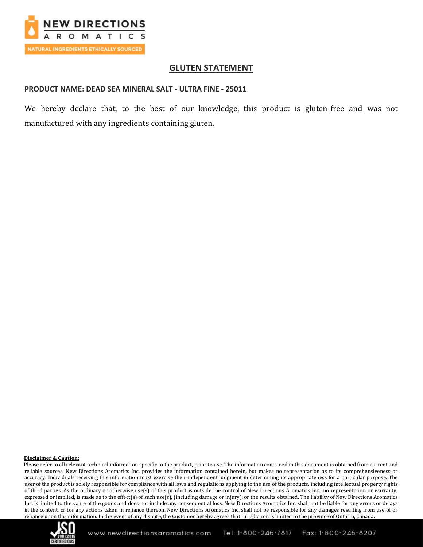

## **GLUTEN STATEMENT**

### **PRODUCT NAME: DEAD SEA MINERAL SALT - ULTRA FINE - 25011**

We hereby declare that, to the best of our knowledge, this product is gluten-free and was not manufactured with any ingredients containing gluten.

#### **Disclaimer & Caution:**

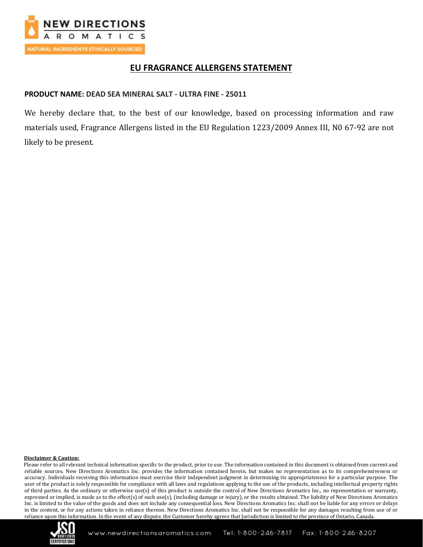

## **EU FRAGRANCE ALLERGENS STATEMENT**

### **PRODUCT NAME: DEAD SEA MINERAL SALT - ULTRA FINE - 25011**

We hereby declare that, to the best of our knowledge, based on processing information and raw materials used, Fragrance Allergens listed in the EU Regulation 1223/2009 Annex III, N0 67-92 are not likely to be present.

#### **Disclaimer & Caution:**

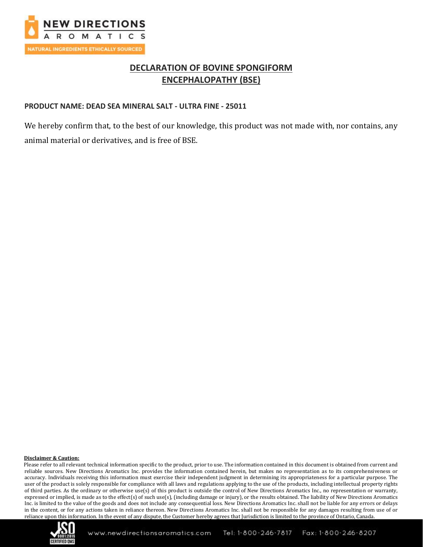

## **DECLARATION OF BOVINE SPONGIFORM ENCEPHALOPATHY (BSE)**

### **PRODUCT NAME: DEAD SEA MINERAL SALT - ULTRA FINE - 25011**

We hereby confirm that, to the best of our knowledge, this product was not made with, nor contains, any animal material or derivatives, and is free of BSE.

#### **Disclaimer & Caution:**

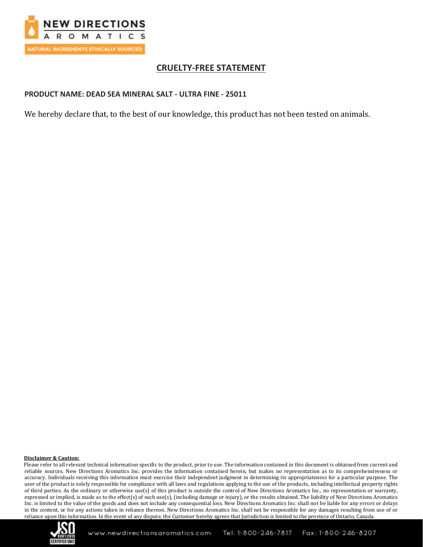

## **CRUELTY-FREE STATEMENT**

### **PRODUCT NAME: DEAD SEA MINERAL SALT - ULTRA FINE - 25011**

We hereby declare that, to the best of our knowledge, this product has not been tested on animals.

#### **Disclaimer & Caution:**

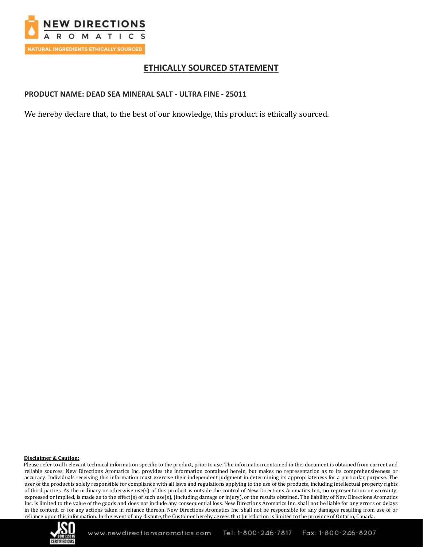

## **ETHICALLY SOURCED STATEMENT**

## **PRODUCT NAME: DEAD SEA MINERAL SALT - ULTRA FINE - 25011**

We hereby declare that, to the best of our knowledge, this product is ethically sourced.

#### **Disclaimer & Caution:**

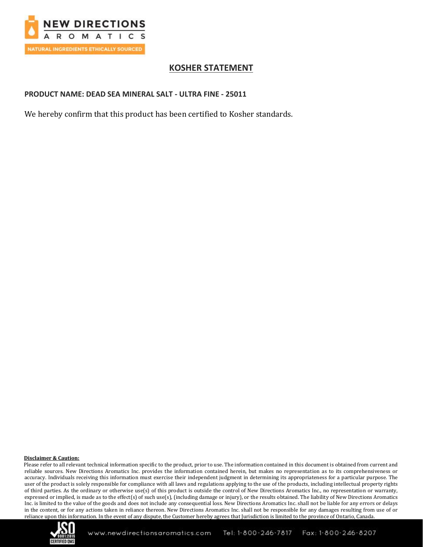

## **KOSHER STATEMENT**

### **PRODUCT NAME: DEAD SEA MINERAL SALT - ULTRA FINE - 25011**

We hereby confirm that this product has been certified to Kosher standards.

#### **Disclaimer & Caution:**

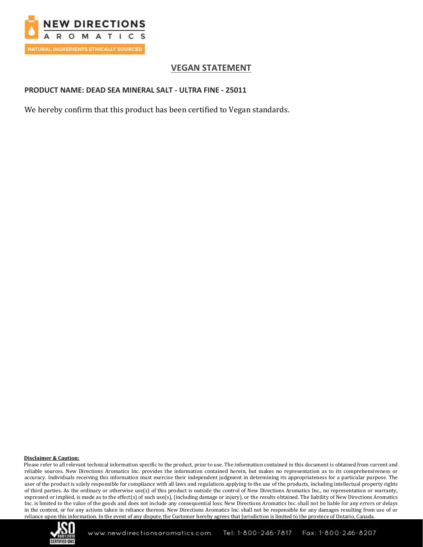

## **VEGAN STATEMENT**

## **PRODUCT NAME: DEAD SEA MINERAL SALT - ULTRA FINE - 25011**

We hereby confirm that this product has been certified to Vegan standards.

#### **Disclaimer & Caution:**

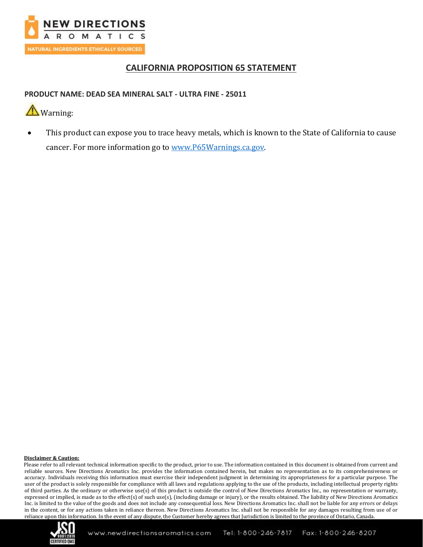

## **CALIFORNIA PROPOSITION 65 STATEMENT**

## **PRODUCT NAME: DEAD SEA MINERAL SALT - ULTRA FINE - 25011**

# **A**Warning:

• This product can expose you to trace heavy metals, which is known to the State of California to cause cancer. For more information go to [www.P65Warnings.ca.gov.](http://www.p65warnings.ca.gov/)

#### **Disclaimer & Caution:**